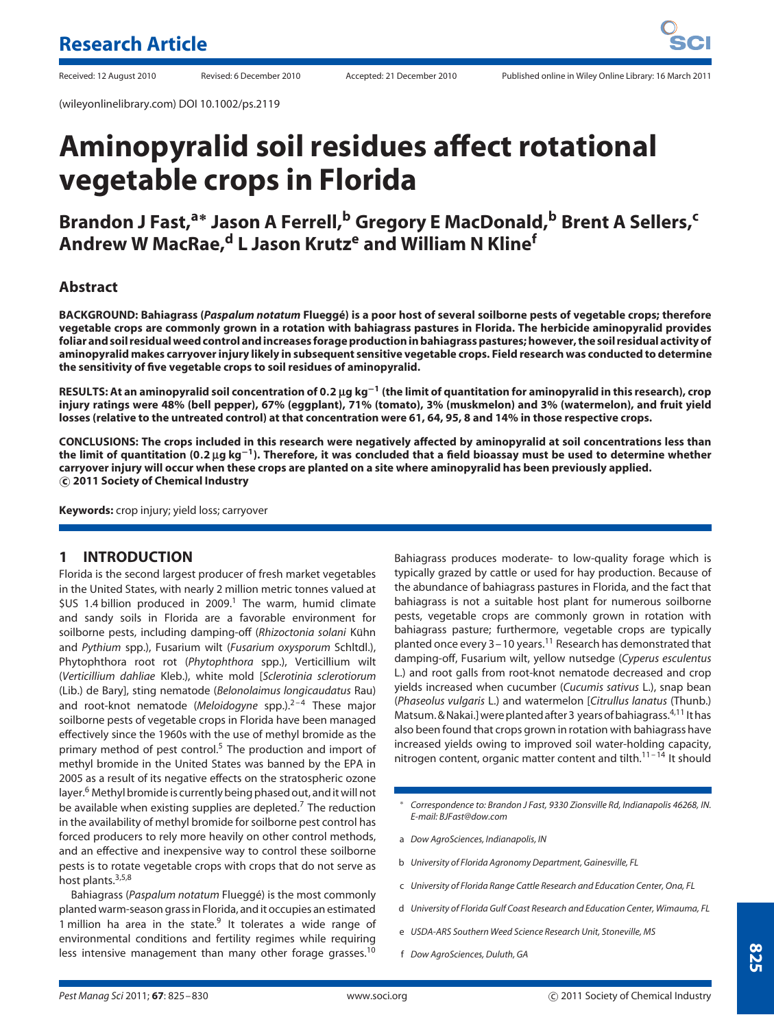# **Aminopyralid soil residues affect rotational vegetable crops in Florida**

# **Brandon J Fast,a<sup>∗</sup> Jason A Ferrell,<sup>b</sup> Gregory E MacDonald,<sup>b</sup> Brent A Sellers,<sup>c</sup> Andrew W MacRae,d L Jason Krutz<sup>e</sup> and William N Kline<sup>f</sup>**

# **Abstract**

**BACKGROUND: Bahiagrass (***Paspalum notatum* **Fluegge) is a poor host of several soilborne pests of vegetable crops; therefore ´ vegetable crops are commonly grown in a rotation with bahiagrass pastures in Florida. The herbicide aminopyralid provides foliar and soil residual weed control and increases forage production in bahiagrass pastures; however, the soil residual activity of aminopyralid makes carryover injury likely in subsequent sensitive vegetable crops. Field research was conducted to determine the sensitivity of five vegetable crops to soil residues of aminopyralid.**

**RESULTS: At an aminopyralid soil concentration of 0***.***2** µ**g kg−<sup>1</sup> (the limit of quantitation for aminopyralid in this research), crop injury ratings were 48% (bell pepper), 67% (eggplant), 71% (tomato), 3% (muskmelon) and 3% (watermelon), and fruit yield losses (relative to the untreated control) at that concentration were 61, 64, 95, 8 and 14% in those respective crops.**

**CONCLUSIONS: The crops included in this research were negatively affected by aminopyralid at soil concentrations less than the limit of quantitation (0***.***2** µ**g kg−1). Therefore, it was concluded that a field bioassay must be used to determine whether carryover injury will occur when these crops are planted on a site where aminopyralid has been previously applied. c 2011 Society of Chemical Industry**

**Keywords:** crop injury; yield loss; carryover

#### **1 INTRODUCTION**

Florida is the second largest producer of fresh market vegetables in the United States, with nearly 2 million metric tonnes valued at  $$US$  1.4 billion produced in 2009.<sup>1</sup> The warm, humid climate and sandy soils in Florida are a favorable environment for soilborne pests, including damping-off (*Rhizoctonia solani* Kuhn ¨ and *Pythium* spp.), Fusarium wilt (*Fusarium oxysporum* Schltdl.), Phytophthora root rot (*Phytophthora* spp.), Verticillium wilt (*Verticillium dahliae* Kleb.), white mold [*Sclerotinia sclerotiorum* (Lib.) de Bary], sting nematode (*Belonolaimus longicaudatus* Rau) and root-knot nematode (*Meloidogyne* spp.).<sup>2-4</sup> These major soilborne pests of vegetable crops in Florida have been managed effectively since the 1960s with the use of methyl bromide as the primary method of pest control.<sup>5</sup> The production and import of methyl bromide in the United States was banned by the EPA in 2005 as a result of its negative effects on the stratospheric ozone layer.<sup>6</sup> Methyl bromide is currently being phased out, and it will not be available when existing supplies are depleted.<sup>7</sup> The reduction in the availability of methyl bromide for soilborne pest control has forced producers to rely more heavily on other control methods, and an effective and inexpensive way to control these soilborne pests is to rotate vegetable crops with crops that do not serve as host plants.<sup>3,5,8</sup>

Bahiagrass (*Paspalum notatum* Fluegge) is the most commonly ´ planted warm-season grass in Florida, and it occupies an estimated 1 million ha area in the state. $9$  It tolerates a wide range of environmental conditions and fertility regimes while requiring less intensive management than many other forage grasses.<sup>10</sup>

Bahiagrass produces moderate- to low-quality forage which is typically grazed by cattle or used for hay production. Because of the abundance of bahiagrass pastures in Florida, and the fact that bahiagrass is not a suitable host plant for numerous soilborne pests, vegetable crops are commonly grown in rotation with bahiagrass pasture; furthermore, vegetable crops are typically planted once every 3-10 years.<sup>11</sup> Research has demonstrated that damping-off, Fusarium wilt, yellow nutsedge (*Cyperus esculentus* L.) and root galls from root-knot nematode decreased and crop yields increased when cucumber (*Cucumis sativus* L.), snap bean (*Phaseolus vulgaris* L.) and watermelon [*Citrullus lanatus* (Thunb.) Matsum. & Nakai.] were planted after 3 years of bahiagrass.<sup>4,11</sup> It has also been found that crops grown in rotation with bahiagrass have increased yields owing to improved soil water-holding capacity, nitrogen content, organic matter content and tilth.<sup>11-14</sup> It should

- ∗ *Correspondence to: Brandon J Fast, 9330 Zionsville Rd, Indianapolis 46268, IN. E-mail: BJFast@dow.com*
- a *Dow AgroSciences, Indianapolis, IN*
- b *University of Florida Agronomy Department, Gainesville, FL*
- c *University of Florida Range Cattle Research and Education Center, Ona, FL*
- d *University of Florida Gulf Coast Research and Education Center, Wimauma, FL*
- e *USDA-ARS Southern Weed Science Research Unit, Stoneville, MS*
- f *Dow AgroSciences, Duluth, GA*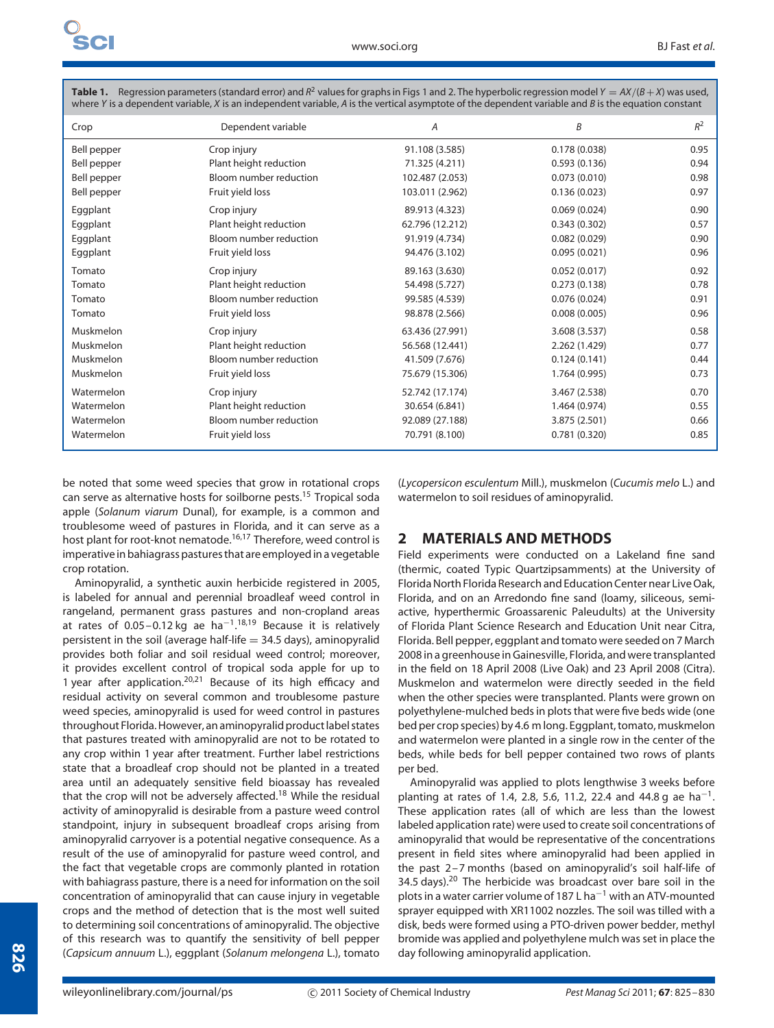| $\blacksquare$ . Regression parameters (standard error) and it values for gruphs in Figs. Fund 2. The hyperbone regression model $\ell = m / (D + m)$ was used,<br>where Y is a dependent variable, X is an independent variable, A is the vertical asymptote of the dependent variable and B is the equation constant |                        |                 |               |       |  |  |
|------------------------------------------------------------------------------------------------------------------------------------------------------------------------------------------------------------------------------------------------------------------------------------------------------------------------|------------------------|-----------------|---------------|-------|--|--|
| Crop                                                                                                                                                                                                                                                                                                                   | Dependent variable     | A               | B             | $R^2$ |  |  |
| Bell pepper                                                                                                                                                                                                                                                                                                            | Crop injury            | 91.108 (3.585)  | 0.178(0.038)  | 0.95  |  |  |
| Bell pepper                                                                                                                                                                                                                                                                                                            | Plant height reduction | 71.325 (4.211)  | 0.593(0.136)  | 0.94  |  |  |
| Bell pepper                                                                                                                                                                                                                                                                                                            | Bloom number reduction | 102.487 (2.053) | 0.073(0.010)  | 0.98  |  |  |
| Bell pepper                                                                                                                                                                                                                                                                                                            | Fruit yield loss       | 103.011 (2.962) | 0.136(0.023)  | 0.97  |  |  |
| Eggplant                                                                                                                                                                                                                                                                                                               | Crop injury            | 89.913 (4.323)  | 0.069(0.024)  | 0.90  |  |  |
| Eggplant                                                                                                                                                                                                                                                                                                               | Plant height reduction | 62.796 (12.212) | 0.343(0.302)  | 0.57  |  |  |
| Eggplant                                                                                                                                                                                                                                                                                                               | Bloom number reduction | 91.919 (4.734)  | 0.082(0.029)  | 0.90  |  |  |
| Eggplant                                                                                                                                                                                                                                                                                                               | Fruit yield loss       | 94.476 (3.102)  | 0.095(0.021)  | 0.96  |  |  |
| Tomato                                                                                                                                                                                                                                                                                                                 | Crop injury            | 89.163 (3.630)  | 0.052(0.017)  | 0.92  |  |  |
| Tomato                                                                                                                                                                                                                                                                                                                 | Plant height reduction | 54.498 (5.727)  | 0.273(0.138)  | 0.78  |  |  |
| Tomato                                                                                                                                                                                                                                                                                                                 | Bloom number reduction | 99.585 (4.539)  | 0.076(0.024)  | 0.91  |  |  |
| Tomato                                                                                                                                                                                                                                                                                                                 | Fruit yield loss       | 98.878 (2.566)  | 0.008(0.005)  | 0.96  |  |  |
| Muskmelon                                                                                                                                                                                                                                                                                                              | Crop injury            | 63.436 (27.991) | 3.608 (3.537) | 0.58  |  |  |
| Muskmelon                                                                                                                                                                                                                                                                                                              | Plant height reduction | 56.568 (12.441) | 2.262 (1.429) | 0.77  |  |  |
| Muskmelon                                                                                                                                                                                                                                                                                                              | Bloom number reduction | 41.509 (7.676)  | 0.124(0.141)  | 0.44  |  |  |
| Muskmelon                                                                                                                                                                                                                                                                                                              | Fruit yield loss       | 75.679 (15.306) | 1.764 (0.995) | 0.73  |  |  |
| Watermelon                                                                                                                                                                                                                                                                                                             | Crop injury            | 52.742 (17.174) | 3.467 (2.538) | 0.70  |  |  |
| Watermelon                                                                                                                                                                                                                                                                                                             | Plant height reduction | 30.654 (6.841)  | 1.464 (0.974) | 0.55  |  |  |
| Watermelon                                                                                                                                                                                                                                                                                                             | Bloom number reduction | 92.089 (27.188) | 3.875 (2.501) | 0.66  |  |  |
| Watermelon                                                                                                                                                                                                                                                                                                             | Fruit yield loss       | 70.791 (8.100)  | 0.781(0.320)  | 0.85  |  |  |

**Table 1.** Regression parameters (standard error) and  $R^2$  values for graphs in Figs 1 and 2. The hyperbolic regression model  $Y = AX/(B+X)$  was used,

be noted that some weed species that grow in rotational crops can serve as alternative hosts for soilborne pests.<sup>15</sup> Tropical soda apple (*Solanum viarum* Dunal), for example, is a common and troublesome weed of pastures in Florida, and it can serve as a host plant for root-knot nematode.16,17 Therefore, weed control is imperative in bahiagrass pastures that are employed in a vegetable crop rotation.

Aminopyralid, a synthetic auxin herbicide registered in 2005, is labeled for annual and perennial broadleaf weed control in rangeland, permanent grass pastures and non-cropland areas at rates of 0.05-0.12 kg ae ha<sup>-1</sup>.<sup>18,19</sup> Because it is relatively persistent in the soil (average half-life  $=$  34.5 days), aminopyralid provides both foliar and soil residual weed control; moreover, it provides excellent control of tropical soda apple for up to 1 year after application.<sup>20,21</sup> Because of its high efficacy and residual activity on several common and troublesome pasture weed species, aminopyralid is used for weed control in pastures throughout Florida. However, an aminopyralid product label states that pastures treated with aminopyralid are not to be rotated to any crop within 1 year after treatment. Further label restrictions state that a broadleaf crop should not be planted in a treated area until an adequately sensitive field bioassay has revealed that the crop will not be adversely affected.<sup>18</sup> While the residual activity of aminopyralid is desirable from a pasture weed control standpoint, injury in subsequent broadleaf crops arising from aminopyralid carryover is a potential negative consequence. As a result of the use of aminopyralid for pasture weed control, and the fact that vegetable crops are commonly planted in rotation with bahiagrass pasture, there is a need for information on the soil concentration of aminopyralid that can cause injury in vegetable crops and the method of detection that is the most well suited to determining soil concentrations of aminopyralid. The objective of this research was to quantify the sensitivity of bell pepper (*Capsicum annuum* L.), eggplant (*Solanum melongena* L.), tomato (*Lycopersicon esculentum* Mill.), muskmelon (*Cucumis melo* L.) and watermelon to soil residues of aminopyralid.

## **2 MATERIALS AND METHODS**

Field experiments were conducted on a Lakeland fine sand (thermic, coated Typic Quartzipsamments) at the University of Florida North Florida Research and Education Center near Live Oak, Florida, and on an Arredondo fine sand (loamy, siliceous, semiactive, hyperthermic Groassarenic Paleudults) at the University of Florida Plant Science Research and Education Unit near Citra, Florida. Bell pepper, eggplant and tomato were seeded on 7 March 2008 in a greenhouse in Gainesville, Florida, and were transplanted in the field on 18 April 2008 (Live Oak) and 23 April 2008 (Citra). Muskmelon and watermelon were directly seeded in the field when the other species were transplanted. Plants were grown on polyethylene-mulched beds in plots that were five beds wide (one bed per crop species) by 4.6 m long. Eggplant, tomato, muskmelon and watermelon were planted in a single row in the center of the beds, while beds for bell pepper contained two rows of plants per bed.

Aminopyralid was applied to plots lengthwise 3 weeks before planting at rates of 1.4, 2.8, 5.6, 11.2, 22.4 and 44.8 g ae ha<sup>-1</sup>. These application rates (all of which are less than the lowest labeled application rate) were used to create soil concentrations of aminopyralid that would be representative of the concentrations present in field sites where aminopyralid had been applied in the past 2–7 months (based on aminopyralid's soil half-life of 34.5 days). $20$  The herbicide was broadcast over bare soil in the plots in a water carrier volume of 187 L ha<sup>-1</sup> with an ATV-mounted sprayer equipped with XR11002 nozzles. The soil was tilled with a disk, beds were formed using a PTO-driven power bedder, methyl bromide was applied and polyethylene mulch was set in place the day following aminopyralid application.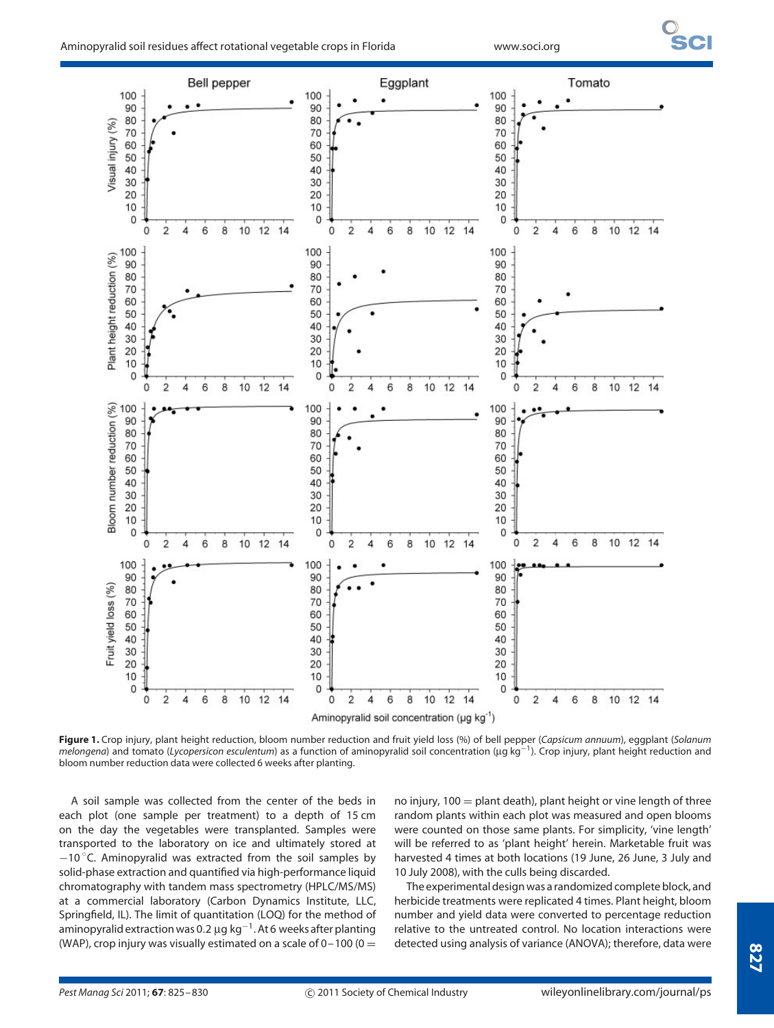

**Figure 1.** Crop injury, plant height reduction, bloom number reduction and fruit yield loss (%) of bell pepper (*Capsicum annuum*), eggplant (*Solanum melongena*) and tomato (*Lycopersicon esculentum*) as a function of aminopyralid soil concentration (µg kg−1). Crop injury, plant height reduction and bloom number reduction data were collected 6 weeks after planting.

A soil sample was collected from the center of the beds in each plot (one sample per treatment) to a depth of 15 cm on the day the vegetables were transplanted. Samples were transported to the laboratory on ice and ultimately stored at −10 ◦ C. Aminopyralid was extracted from the soil samples by solid-phase extraction and quantified via high-performance liquid chromatography with tandem mass spectrometry (HPLC/MS/MS) at a commercial laboratory (Carbon Dynamics Institute, LLC, Springfield, IL). The limit of quantitation (LOQ) for the method of aminopyralid extraction was 0*.*2 µg kg−1. At 6 weeks after planting (WAP), crop injury was visually estimated on a scale of  $0-100$  (0 =

no injury,  $100 =$  plant death), plant height or vine length of three random plants within each plot was measured and open blooms were counted on those same plants. For simplicity, 'vine length' will be referred to as 'plant height' herein. Marketable fruit was harvested 4 times at both locations (19 June, 26 June, 3 July and 10 July 2008), with the culls being discarded.

The experimental design was a randomized complete block, and herbicide treatments were replicated 4 times. Plant height, bloom number and yield data were converted to percentage reduction relative to the untreated control. No location interactions were detected using analysis of variance (ANOVA); therefore, data were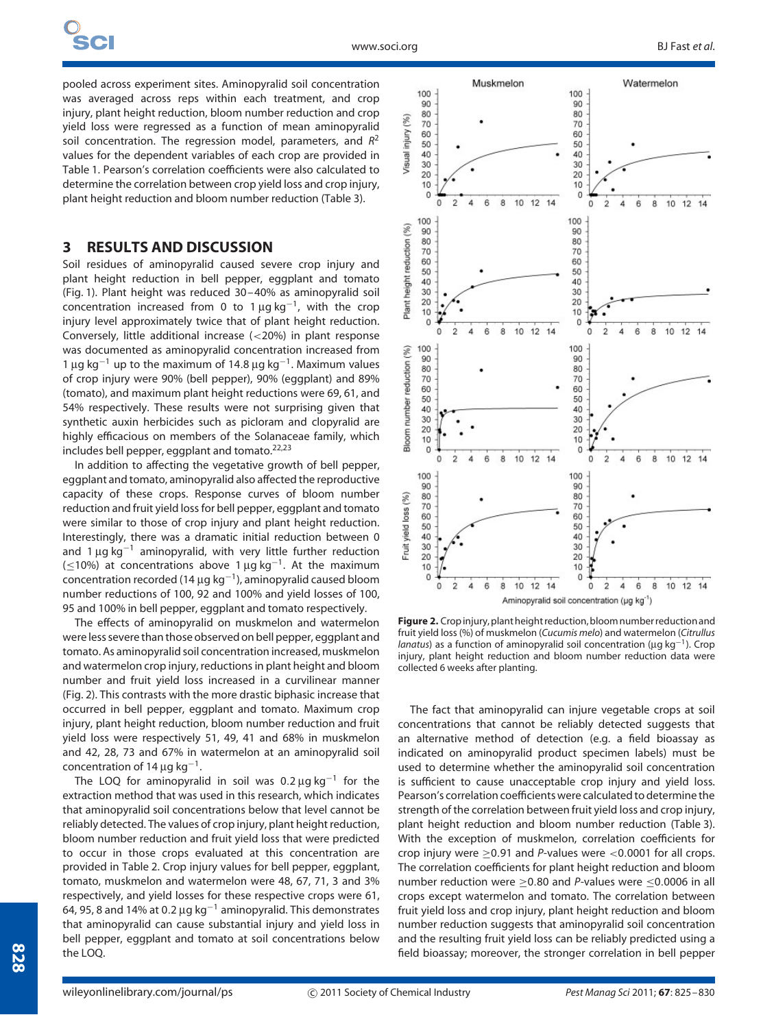pooled across experiment sites. Aminopyralid soil concentration was averaged across reps within each treatment, and crop injury, plant height reduction, bloom number reduction and crop yield loss were regressed as a function of mean aminopyralid soil concentration. The regression model, parameters, and *R*<sup>2</sup> values for the dependent variables of each crop are provided in Table 1. Pearson's correlation coefficients were also calculated to determine the correlation between crop yield loss and crop injury, plant height reduction and bloom number reduction (Table 3).

# **3 RESULTS AND DISCUSSION**

Soil residues of aminopyralid caused severe crop injury and plant height reduction in bell pepper, eggplant and tomato (Fig. 1). Plant height was reduced 30–40% as aminopyralid soil concentration increased from 0 to 1  $\mu$ g kg<sup>-1</sup>, with the crop injury level approximately twice that of plant height reduction. Conversely, little additional increase (*<*20%) in plant response was documented as aminopyralid concentration increased from 1 µg kg−<sup>1</sup> up to the maximum of 14*.*8 µg kg−1. Maximum values of crop injury were 90% (bell pepper), 90% (eggplant) and 89% (tomato), and maximum plant height reductions were 69, 61, and 54% respectively. These results were not surprising given that synthetic auxin herbicides such as picloram and clopyralid are highly efficacious on members of the Solanaceae family, which includes bell pepper, eggplant and tomato.22,23

In addition to affecting the vegetative growth of bell pepper, eggplant and tomato, aminopyralid also affected the reproductive capacity of these crops. Response curves of bloom number reduction and fruit yield loss for bell pepper, eggplant and tomato were similar to those of crop injury and plant height reduction. Interestingly, there was a dramatic initial reduction between 0 and 1  $\mu$ g kg<sup>-1</sup> aminopyralid, with very little further reduction ( $≤10%$ ) at concentrations above 1 µg kg<sup>-1</sup>. At the maximum concentration recorded (14 µg kg−1), aminopyralid caused bloom number reductions of 100, 92 and 100% and yield losses of 100, 95 and 100% in bell pepper, eggplant and tomato respectively.

The effects of aminopyralid on muskmelon and watermelon were less severe than those observed on bell pepper, eggplant and tomato. As aminopyralid soil concentration increased, muskmelon and watermelon crop injury, reductions in plant height and bloom number and fruit yield loss increased in a curvilinear manner (Fig. 2). This contrasts with the more drastic biphasic increase that occurred in bell pepper, eggplant and tomato. Maximum crop injury, plant height reduction, bloom number reduction and fruit yield loss were respectively 51, 49, 41 and 68% in muskmelon and 42, 28, 73 and 67% in watermelon at an aminopyralid soil concentration of 14  $\mu$ g kg<sup>-1</sup>.

The LOQ for aminopyralid in soil was 0*.*2 µg kg−<sup>1</sup> for the extraction method that was used in this research, which indicates that aminopyralid soil concentrations below that level cannot be reliably detected. The values of crop injury, plant height reduction, bloom number reduction and fruit yield loss that were predicted to occur in those crops evaluated at this concentration are provided in Table 2. Crop injury values for bell pepper, eggplant, tomato, muskmelon and watermelon were 48, 67, 71, 3 and 3% respectively, and yield losses for these respective crops were 61, 64, 95, 8 and 14% at 0*.*2 µg kg−<sup>1</sup> aminopyralid. This demonstrates that aminopyralid can cause substantial injury and yield loss in bell pepper, eggplant and tomato at soil concentrations below the LOQ.



**Figure 2.** Crop injury, plant height reduction, bloom number reduction and fruit yield loss (%) of muskmelon (*Cucumis melo*) and watermelon (*Citrullus lanatus*) as a function of aminopyralid soil concentration (µg kg−1). Crop injury, plant height reduction and bloom number reduction data were collected 6 weeks after planting.

The fact that aminopyralid can injure vegetable crops at soil concentrations that cannot be reliably detected suggests that an alternative method of detection (e.g. a field bioassay as indicated on aminopyralid product specimen labels) must be used to determine whether the aminopyralid soil concentration is sufficient to cause unacceptable crop injury and yield loss. Pearson's correlation coefficients were calculated to determine the strength of the correlation between fruit yield loss and crop injury, plant height reduction and bloom number reduction (Table 3). With the exception of muskmelon, correlation coefficients for crop injury were ≥0*.*91 and *P*-values were *<*0*.*0001 for all crops. The correlation coefficients for plant height reduction and bloom number reduction were ≥0*.*80 and *P*-values were ≤0*.*0006 in all crops except watermelon and tomato. The correlation between fruit yield loss and crop injury, plant height reduction and bloom number reduction suggests that aminopyralid soil concentration and the resulting fruit yield loss can be reliably predicted using a field bioassay; moreover, the stronger correlation in bell pepper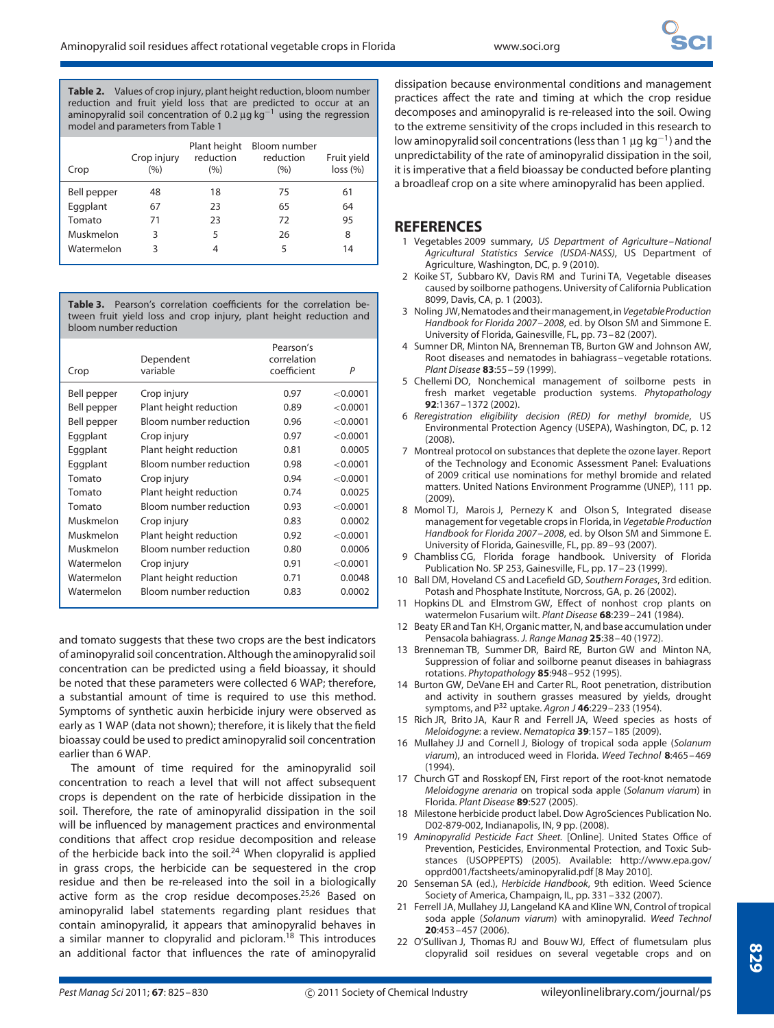**Table 2.** Values of crop injury, plant height reduction, bloom number reduction and fruit yield loss that are predicted to occur at an aminopyralid soil concentration of 0.2 µg kg<sup>-1</sup> using the regression model and parameters from Table 1

| Crop        | Crop injury<br>(9/0) | Plant height<br>reduction<br>(%) | Bloom number<br>reduction<br>(%) | Fruit yield<br>loss (%) |
|-------------|----------------------|----------------------------------|----------------------------------|-------------------------|
| Bell pepper | 48                   | 18                               | 75                               | 61                      |
| Eggplant    | 67                   | 23                               | 65                               | 64                      |
| Tomato      | 71                   | 23                               | 72                               | 95                      |
| Muskmelon   | 3                    | 5                                | 26                               | 8                       |
| Watermelon  | ς                    | 4                                | 5                                | 14                      |

**Table 3.** Pearson's correlation coefficients for the correlation between fruit yield loss and crop injury, plant height reduction and bloom number reduction

| Crop        | Dependent<br>variable  | Pearson's<br>correlation<br>coefficient | P        |
|-------------|------------------------|-----------------------------------------|----------|
| Bell pepper | Crop injury            | 0.97                                    | < 0.0001 |
| Bell pepper | Plant height reduction | 0.89                                    | < 0.0001 |
| Bell pepper | Bloom number reduction | 0.96                                    | < 0.0001 |
| Eggplant    | Crop injury            | 0.97                                    | < 0.0001 |
| Eggplant    | Plant height reduction | 0.81                                    | 0.0005   |
| Eggplant    | Bloom number reduction | 0.98                                    | < 0.0001 |
| Tomato      | Crop injury            | 0.94                                    | < 0.0001 |
| Tomato      | Plant height reduction | 0.74                                    | 0.0025   |
| Tomato      | Bloom number reduction | 0.93                                    | < 0.0001 |
| Muskmelon   | Crop injury            | 0.83                                    | 0.0002   |
| Muskmelon   | Plant height reduction | 0.92                                    | < 0.0001 |
| Muskmelon   | Bloom number reduction | 0.80                                    | 0.0006   |
| Watermelon  | Crop injury            | 0.91                                    | < 0.0001 |
| Watermelon  | Plant height reduction | 0.71                                    | 0.0048   |
| Watermelon  | Bloom number reduction | 0.83                                    | 0.0002   |
|             |                        |                                         |          |

and tomato suggests that these two crops are the best indicators of aminopyralid soil concentration. Although the aminopyralid soil concentration can be predicted using a field bioassay, it should be noted that these parameters were collected 6 WAP; therefore, a substantial amount of time is required to use this method. Symptoms of synthetic auxin herbicide injury were observed as early as 1 WAP (data not shown); therefore, it is likely that the field bioassay could be used to predict aminopyralid soil concentration earlier than 6 WAP.

The amount of time required for the aminopyralid soil concentration to reach a level that will not affect subsequent crops is dependent on the rate of herbicide dissipation in the soil. Therefore, the rate of aminopyralid dissipation in the soil will be influenced by management practices and environmental conditions that affect crop residue decomposition and release of the herbicide back into the soil.<sup>24</sup> When clopyralid is applied in grass crops, the herbicide can be sequestered in the crop residue and then be re-released into the soil in a biologically active form as the crop residue decomposes.<sup>25,26</sup> Based on aminopyralid label statements regarding plant residues that contain aminopyralid, it appears that aminopyralid behaves in a similar manner to clopyralid and picloram.<sup>18</sup> This introduces an additional factor that influences the rate of aminopyralid

dissipation because environmental conditions and management practices affect the rate and timing at which the crop residue decomposes and aminopyralid is re-released into the soil. Owing to the extreme sensitivity of the crops included in this research to low aminopyralid soil concentrations (less than 1  $\mu$ g kg<sup>-1</sup>) and the unpredictability of the rate of aminopyralid dissipation in the soil, it is imperative that a field bioassay be conducted before planting a broadleaf crop on a site where aminopyralid has been applied.

### **REFERENCES**

- 1 Vegetables 2009 summary, *US Department of Agriculture–National Agricultural Statistics Service (USDA-NASS)*, US Department of Agriculture, Washington, DC, p. 9 (2010).
- 2 Koike ST, Subbaro KV, Davis RM and Turini TA, Vegetable diseases caused by soilborne pathogens. University of California Publication 8099, Davis, CA, p. 1 (2003).
- 3 Noling JW, Nematodes and their management, in*VegetableProduction Handbook for Florida 2007–2008*, ed. by Olson SM and Simmone E. University of Florida, Gainesville, FL, pp. 73–82 (2007).
- 4 Sumner DR, Minton NA, Brenneman TB, Burton GW and Johnson AW, Root diseases and nematodes in bahiagrass–vegetable rotations. *Plant Disease* **83**:55–59 (1999).
- 5 Chellemi DO, Nonchemical management of soilborne pests in fresh market vegetable production systems. *Phytopathology* **92**:1367–1372 (2002).
- 6 *Reregistration eligibility decision (RED) for methyl bromide*, US Environmental Protection Agency (USEPA), Washington, DC, p. 12 (2008).
- 7 Montreal protocol on substances that deplete the ozone layer. Report of the Technology and Economic Assessment Panel: Evaluations of 2009 critical use nominations for methyl bromide and related matters. United Nations Environment Programme (UNEP), 111 pp. (2009).
- 8 Momol TJ, Marois J, Pernezy K and Olson S, Integrated disease management for vegetable crops in Florida, in *Vegetable Production Handbook for Florida 2007–2008*, ed. by Olson SM and Simmone E. University of Florida, Gainesville, FL, pp. 89–93 (2007).
- 9 Chambliss CG, Florida forage handbook. University of Florida Publication No. SP 253, Gainesville, FL, pp. 17–23 (1999).
- 10 Ball DM, Hoveland CS and Lacefield GD, *Southern Forages*, 3rd edition. Potash and Phosphate Institute, Norcross, GA, p. 26 (2002).
- 11 Hopkins DL and Elmstrom GW, Effect of nonhost crop plants on watermelon Fusarium wilt. *Plant Disease* **68**:239–241 (1984).
- 12 Beaty ER and Tan KH, Organic matter, N, and base accumulation under Pensacola bahiagrass. *J. Range Manag* **25**:38–40 (1972).
- 13 Brenneman TB, Summer DR, Baird RE, Burton GW and Minton NA, Suppression of foliar and soilborne peanut diseases in bahiagrass rotations. *Phytopathology* **85**:948–952 (1995).
- 14 Burton GW, DeVane EH and Carter RL, Root penetration, distribution and activity in southern grasses measured by yields, drought symptoms, and P<sup>32</sup> uptake. *Agron J* **46**:229–233 (1954).
- 15 Rich JR, Brito JA, Kaur R and Ferrell JA, Weed species as hosts of *Meloidogyne*: a review. *Nematopica* **39**:157–185 (2009).
- 16 Mullahey JJ and Cornell J, Biology of tropical soda apple (*Solanum viarum*), an introduced weed in Florida. *Weed Technol* **8**:465–469 (1994).
- 17 Church GT and Rosskopf EN, First report of the root-knot nematode *Meloidogyne arenaria* on tropical soda apple (*Solanum viarum*) in Florida. *Plant Disease* **89**:527 (2005).
- 18 Milestone herbicide product label. Dow AgroSciences Publication No. D02-879-002, Indianapolis, IN, 9 pp. (2008).
- 19 *Aminopyralid Pesticide Fact Sheet.* [Online]. United States Office of Prevention, Pesticides, Environmental Protection, and Toxic Substances (USOPPEPTS) (2005). Available: http://www.epa.gov/ opprd001/factsheets/aminopyralid.pdf [8 May 2010].
- 20 Senseman SA (ed.), *Herbicide Handbook*, 9th edition. Weed Science Society of America, Champaign, IL, pp. 331–332 (2007).
- 21 Ferrell JA, Mullahey JJ, Langeland KA and Kline WN, Control of tropical soda apple (*Solanum viarum*) with aminopyralid. *Weed Technol* **20**:453–457 (2006).
- 22 O'Sullivan J, Thomas RJ and Bouw WJ, Effect of flumetsulam plus clopyralid soil residues on several vegetable crops and on